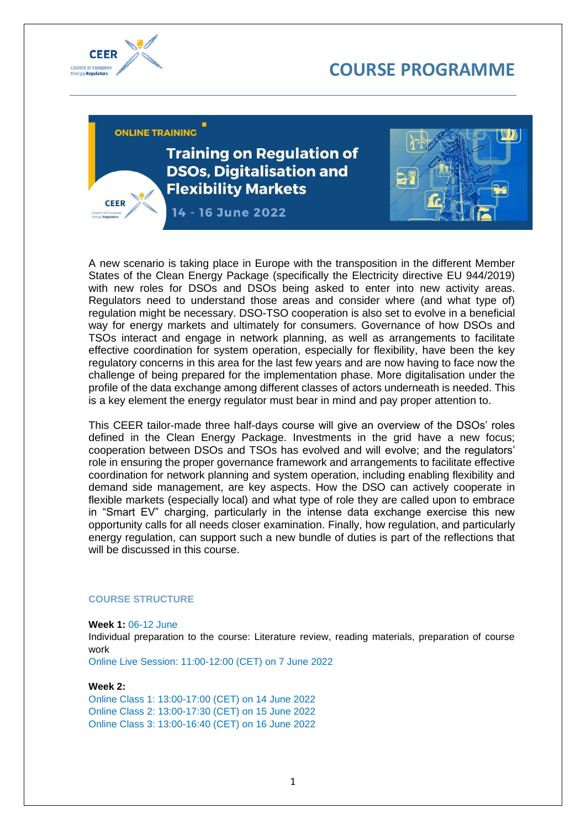



CEER

ONI INF TRAINING

**Training on Regulation of DSOs. Digitalisation and Flexibility Markets** 

14 - 16 June 2022



A new scenario is taking place in Europe with the transposition in the different Member States of the Clean Energy Package (specifically the Electricity directive EU 944/2019) with new roles for DSOs and DSOs being asked to enter into new activity areas. Regulators need to understand those areas and consider where (and what type of) regulation might be necessary. DSO-TSO cooperation is also set to evolve in a beneficial way for energy markets and ultimately for consumers. Governance of how DSOs and TSOs interact and engage in network planning, as well as arrangements to facilitate effective coordination for system operation, especially for flexibility, have been the key regulatory concerns in this area for the last few years and are now having to face now the challenge of being prepared for the implementation phase. More digitalisation under the profile of the data exchange among different classes of actors underneath is needed. This is a key element the energy regulator must bear in mind and pay proper attention to.

This CEER tailor-made three half-days course will give an overview of the DSOs' roles defined in the Clean Energy Package. Investments in the grid have a new focus; cooperation between DSOs and TSOs has evolved and will evolve; and the regulators' role in ensuring the proper governance framework and arrangements to facilitate effective coordination for network planning and system operation, including enabling flexibility and demand side management, are key aspects. How the DSO can actively cooperate in flexible markets (especially local) and what type of role they are called upon to embrace in "Smart EV" charging, particularly in the intense data exchange exercise this new opportunity calls for all needs closer examination. Finally, how regulation, and particularly energy regulation, can support such a new bundle of duties is part of the reflections that will be discussed in this course.

## **COURSE STRUCTURE**

#### **Week 1:** 06-12 June

Individual preparation to the course: Literature review, reading materials, preparation of course work

Online Live Session: 11:00-12:00 (CET) on 7 June 2022

#### **Week 2:**

Online Class 1: 13:00-17:00 (CET) on 14 June 2022 Online Class 2: 13:00-17:30 (CET) on 15 June 2022 Online Class 3: 13:00-16:40 (CET) on 16 June 2022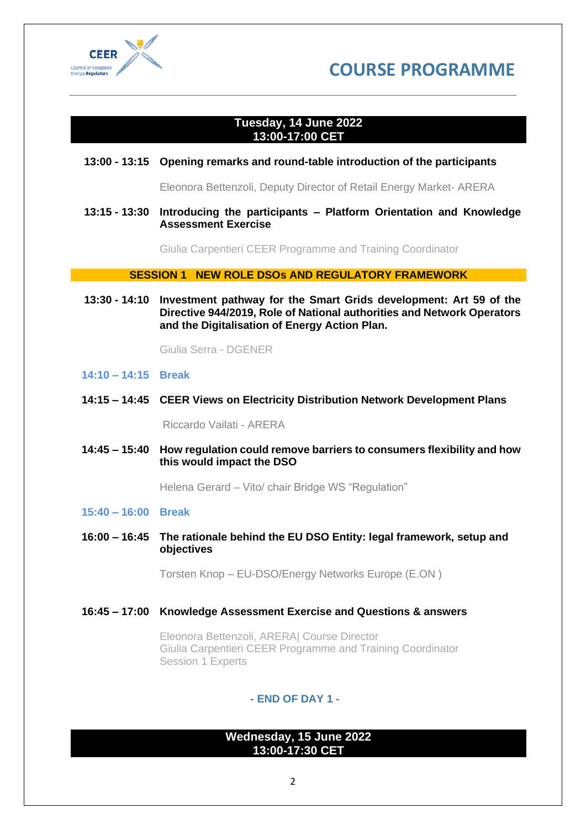



# **Tuesday, 14 June 2022 13:00-17:00 CET**

# **13:00 - 13:15 Opening remarks and round-table introduction of the participants**

Eleonora Bettenzoli, Deputy Director of Retail Energy Market- ARERA

## **13:15 - 13:30 Introducing the participants – Platform Orientation and Knowledge Assessment Exercise**

Giulia Carpentieri CEER Programme and Training Coordinator

**SESSION 1 NEW ROLE DSOs AND REGULATORY FRAMEWORK**

**13:30 - 14:10 Investment pathway for the Smart Grids development: Art 59 of the Directive 944/2019, Role of National authorities and Network Operators and the Digitalisation of Energy Action Plan.**

Giulia Serra - DGENER

## **14:10 – 14:15 Break**

**14:15 – 14:45 CEER Views on Electricity Distribution Network Development Plans**

Riccardo Vailati - ARERA

**14:45 – 15:40 How regulation could remove barriers to consumers flexibility and how this would impact the DSO**

Helena Gerard – Vito/ chair Bridge WS "Regulation"

## **15:40 – 16:00 Break**

**16:00 – 16:45 The rationale behind the EU DSO Entity: legal framework, setup and objectives**

Torsten Knop – EU-DSO/Energy Networks Europe (E.ON )

**16:45 – 17:00 Knowledge Assessment Exercise and Questions & answers**

Eleonora Bettenzoli, ARERA| Course Director Giulia Carpentieri CEER Programme and Training Coordinator Session 1 Experts

# **- END OF DAY 1 -**

# **Wednesday, 15 June 2022 13:00-17:30 CET**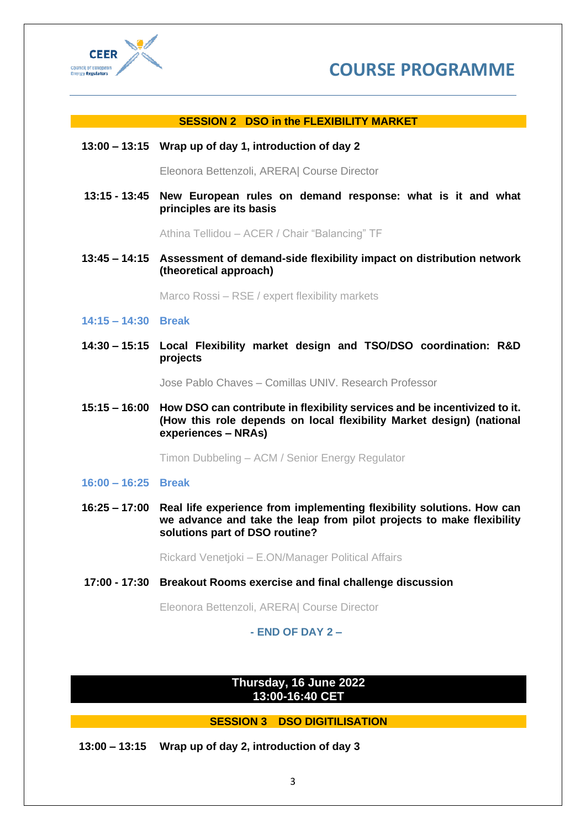



## **SESSION 2 DSO in the FLEXIBILITY MARKET**

#### **13:00 – 13:15 Wrap up of day 1, introduction of day 2**

Eleonora Bettenzoli, ARERA| Course Director

**13:15 - 13:45 New European rules on demand response: what is it and what principles are its basis**

Athina Tellidou – ACER / Chair "Balancing" TF

**13:45 – 14:15 Assessment of demand-side flexibility impact on distribution network (theoretical approach)** 

Marco Rossi – RSE / expert flexibility markets

#### **14:15 – 14:30 Break**

**14:30 – 15:15 Local Flexibility market design and TSO/DSO coordination: R&D projects**

Jose Pablo Chaves – Comillas UNIV. Research Professor

**15:15 – 16:00 How DSO can contribute in flexibility services and be incentivized to it. (How this role depends on local flexibility Market design) (national experiences – NRAs)**

Timon Dubbeling – ACM / Senior Energy Regulator

## **16:00 – 16:25 Break**

**16:25 – 17:00 Real life experience from implementing flexibility solutions. How can we advance and take the leap from pilot projects to make flexibility solutions part of DSO routine?**

Rickard Venetjoki – E.ON/Manager Political Affairs

**17:00 - 17:30 Breakout Rooms exercise and final challenge discussion** 

Eleonora Bettenzoli, ARERA| Course Director

## **- END OF DAY 2 –**

# **Thursday, 16 June 2022 13:00-16:40 CET**

## **SESSION 3 DSO DIGITILISATION**

**13:00 – 13:15 Wrap up of day 2, introduction of day 3**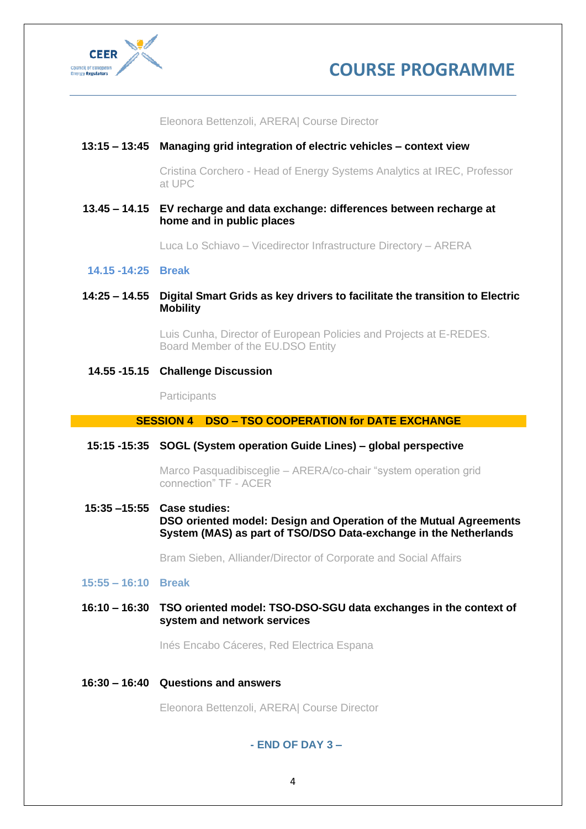



Eleonora Bettenzoli, ARERA| Course Director

# **13:15 – 13:45 Managing grid integration of electric vehicles – context view**

Cristina Corchero - Head of Energy Systems Analytics at IREC, Professor at UPC

**13.45 – 14.15 EV recharge and data exchange: differences between recharge at home and in public places**

Luca Lo Schiavo – Vicedirector Infrastructure Directory – ARERA

#### **14.15 -14:25 Break**

**14:25 – 14.55 Digital Smart Grids as key drivers to facilitate the transition to Electric Mobility**

> Luis Cunha, Director of European Policies and Projects at E-REDES. Board Member of the EU.DSO Entity

## **14.55 -15.15 Challenge Discussion**

**Participants** 

## **SESSION 4 DSO – TSO COOPERATION for DATE EXCHANGE**

#### **15:15 -15:35 SOGL (System operation Guide Lines) – global perspective**

Marco Pasquadibisceglie – ARERA/co-chair "system operation grid connection" TF - ACER

**15:35 –15:55 Case studies: DSO oriented model: Design and Operation of the Mutual Agreements System (MAS) as part of TSO/DSO Data-exchange in the Netherlands**

Bram Sieben, Alliander/Director of Corporate and Social Affairs

#### **15:55 – 16:10 Break**

**16:10 – 16:30 TSO oriented model: TSO-DSO-SGU data exchanges in the context of system and network services**

Inés Encabo Cáceres, Red Electrica Espana

**16:30 – 16:40 Questions and answers**

Eleonora Bettenzoli, ARERA| Course Director

**- END OF DAY 3 –**